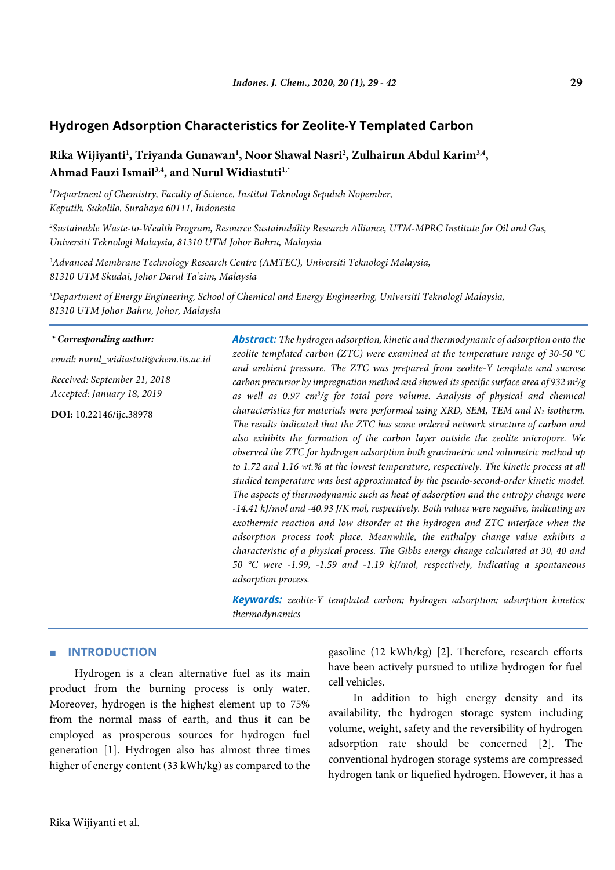# **Rika Wijiyanti1 , Triyanda Gunawan1 , Noor Shawal Nasri2 , Zulhairun Abdul Karim3,4, Ahmad Fauzi Ismail3,4, and Nurul Widiastuti1,\***

*1 Department of Chemistry, Faculty of Science, Institut Teknologi Sepuluh Nopember, Keputih, Sukolilo, Surabaya 60111, Indonesia*

*2 Sustainable Waste-to-Wealth Program, Resource Sustainability Research Alliance, UTM-MPRC Institute for Oil and Gas, Universiti Teknologi Malaysia, 81310 UTM Johor Bahru, Malaysia*

*3 Advanced Membrane Technology Research Centre (AMTEC), Universiti Teknologi Malaysia, 81310 UTM Skudai, Johor Darul Ta'zim, Malaysia*

*4 Department of Energy Engineering, School of Chemical and Energy Engineering, Universiti Teknologi Malaysia, 81310 UTM Johor Bahru, Johor, Malaysia*

#### *\* Corresponding author:*

*email: nurul\_widiastuti@chem.its.ac.id*

*Received: September 21, 2018 Accepted: January 18, 2019*

**DOI:** 10.22146/ijc.38978

*Abstract: The hydrogen adsorption, kinetic and thermodynamic of adsorption onto the zeolite templated carbon (ZTC) were examined at the temperature range of 30-50 °C and ambient pressure. The ZTC was prepared from zeolite-Y template and sucrose carbon precursor by impregnation method and showed its specific surface area of 932 m2 /g as well as 0.97 cm3 /g for total pore volume. Analysis of physical and chemical characteristics for materials were performed using XRD, SEM, TEM and N<sub>2</sub> <i>isotherm. The results indicated that the ZTC has some ordered network structure of carbon and also exhibits the formation of the carbon layer outside the zeolite micropore. We observed the ZTC for hydrogen adsorption both gravimetric and volumetric method up to 1.72 and 1.16 wt.% at the lowest temperature, respectively. The kinetic process at all studied temperature was best approximated by the pseudo-second-order kinetic model. The aspects of thermodynamic such as heat of adsorption and the entropy change were -14.41 kJ/mol and -40.93 J/K mol, respectively. Both values were negative, indicating an exothermic reaction and low disorder at the hydrogen and ZTC interface when the adsorption process took place. Meanwhile, the enthalpy change value exhibits a characteristic of a physical process. The Gibbs energy change calculated at 30, 40 and 50 °C were -1.99, -1.59 and -1.19 kJ/mol, respectively, indicating a spontaneous adsorption process.*

*Keywords: zeolite-Y templated carbon; hydrogen adsorption; adsorption kinetics; thermodynamics*

# ■ **INTRODUCTION**

Hydrogen is a clean alternative fuel as its main product from the burning process is only water. Moreover, hydrogen is the highest element up to 75% from the normal mass of earth, and thus it can be employed as prosperous sources for hydrogen fuel generation [1]. Hydrogen also has almost three times higher of energy content (33 kWh/kg) as compared to the gasoline (12 kWh/kg) [2]. Therefore, research efforts have been actively pursued to utilize hydrogen for fuel cell vehicles.

In addition to high energy density and its availability, the hydrogen storage system including volume, weight, safety and the reversibility of hydrogen adsorption rate should be concerned [2]. The conventional hydrogen storage systems are compressed hydrogen tank or liquefied hydrogen. However, it has a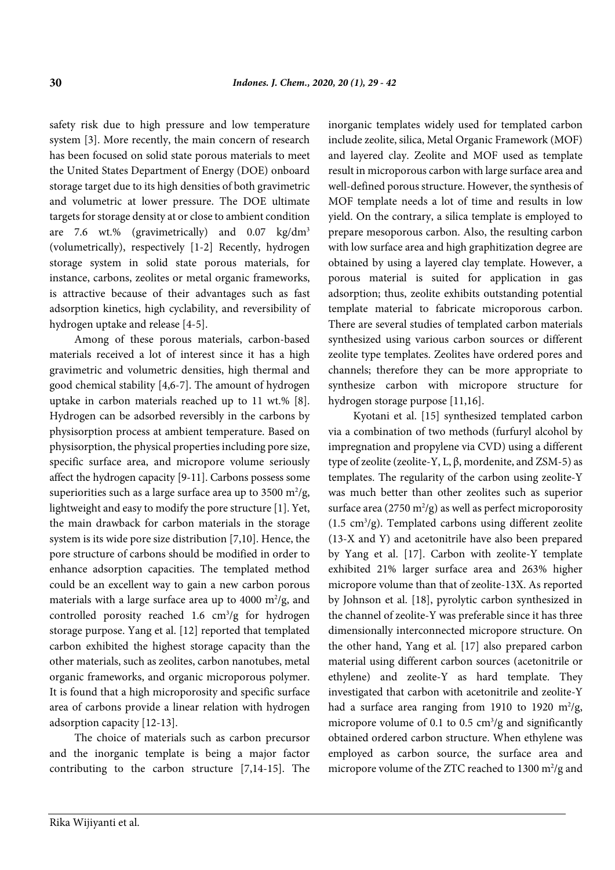safety risk due to high pressure and low temperature system [3]. More recently, the main concern of research has been focused on solid state porous materials to meet the United States Department of Energy (DOE) onboard storage target due to its high densities of both gravimetric and volumetric at lower pressure. The DOE ultimate targets for storage density at or close to ambient condition are 7.6 wt.% (gravimetrically) and  $0.07 \text{ kg/dm}^3$ (volumetrically), respectively [1-2] Recently, hydrogen storage system in solid state porous materials, for instance, carbons, zeolites or metal organic frameworks, is attractive because of their advantages such as fast adsorption kinetics, high cyclability, and reversibility of hydrogen uptake and release [4-5].

Among of these porous materials, carbon-based materials received a lot of interest since it has a high gravimetric and volumetric densities, high thermal and good chemical stability [4,6-7]. The amount of hydrogen uptake in carbon materials reached up to 11 wt.% [8]. Hydrogen can be adsorbed reversibly in the carbons by physisorption process at ambient temperature. Based on physisorption, the physical properties including pore size, specific surface area, and micropore volume seriously affect the hydrogen capacity [9-11]. Carbons possess some superiorities such as a large surface area up to  $3500 \text{ m}^2/\text{g}$ , lightweight and easy to modify the pore structure [1]. Yet, the main drawback for carbon materials in the storage system is its wide pore size distribution [7,10]. Hence, the pore structure of carbons should be modified in order to enhance adsorption capacities. The templated method could be an excellent way to gain a new carbon porous materials with a large surface area up to  $4000 \text{ m}^2/\text{g}$ , and controlled porosity reached  $1.6 \text{ cm}^3/\text{g}$  for hydrogen storage purpose. Yang et al. [12] reported that templated carbon exhibited the highest storage capacity than the other materials, such as zeolites, carbon nanotubes, metal organic frameworks, and organic microporous polymer. It is found that a high microporosity and specific surface area of carbons provide a linear relation with hydrogen adsorption capacity [12-13].

The choice of materials such as carbon precursor and the inorganic template is being a major factor contributing to the carbon structure [7,14-15]. The inorganic templates widely used for templated carbon include zeolite, silica, Metal Organic Framework (MOF) and layered clay. Zeolite and MOF used as template result in microporous carbon with large surface area and well-defined porous structure. However, the synthesis of MOF template needs a lot of time and results in low yield. On the contrary, a silica template is employed to prepare mesoporous carbon. Also, the resulting carbon with low surface area and high graphitization degree are obtained by using a layered clay template. However, a porous material is suited for application in gas adsorption; thus, zeolite exhibits outstanding potential template material to fabricate microporous carbon. There are several studies of templated carbon materials synthesized using various carbon sources or different zeolite type templates. Zeolites have ordered pores and channels; therefore they can be more appropriate to synthesize carbon with micropore structure for hydrogen storage purpose [11,16].

Kyotani et al. [15] synthesized templated carbon via a combination of two methods (furfuryl alcohol by impregnation and propylene via CVD) using a different type of zeolite (zeolite-Y, L, β, mordenite, and ZSM-5) as templates. The regularity of the carbon using zeolite-Y was much better than other zeolites such as superior surface area ( $2750 \text{ m}^2/\text{g}$ ) as well as perfect microporosity  $(1.5 \text{ cm}^3/\text{g})$ . Templated carbons using different zeolite (13-X and Y) and acetonitrile have also been prepared by Yang et al. [17]. Carbon with zeolite-Y template exhibited 21% larger surface area and 263% higher micropore volume than that of zeolite-13X. As reported by Johnson et al. [18], pyrolytic carbon synthesized in the channel of zeolite-Y was preferable since it has three dimensionally interconnected micropore structure. On the other hand, Yang et al. [17] also prepared carbon material using different carbon sources (acetonitrile or ethylene) and zeolite-Y as hard template. They investigated that carbon with acetonitrile and zeolite-Y had a surface area ranging from 1910 to 1920  $m^2/g$ , micropore volume of 0.1 to 0.5  $\text{cm}^3/\text{g}$  and significantly obtained ordered carbon structure. When ethylene was employed as carbon source, the surface area and micropore volume of the ZTC reached to  $1300 \text{ m}^2/\text{g}$  and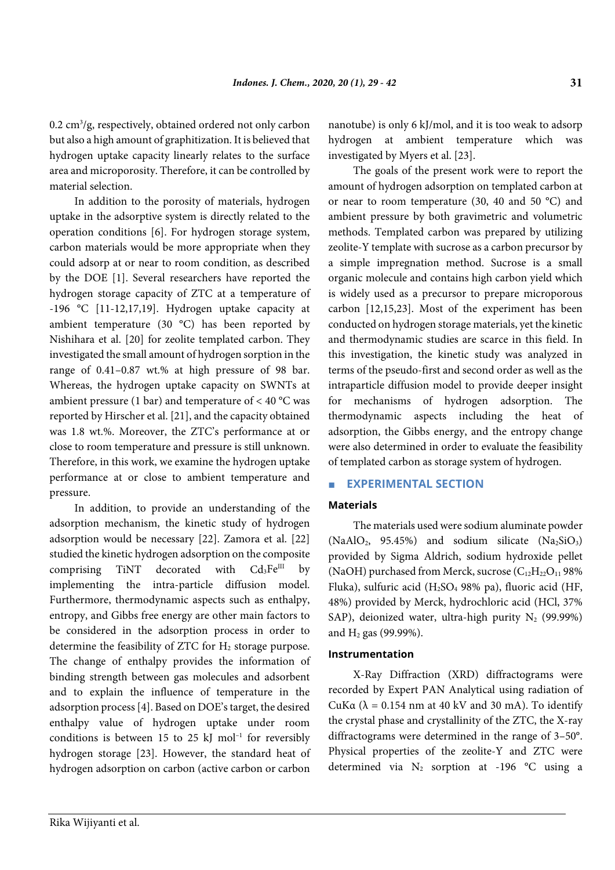$0.2 \text{ cm}^3/\text{g}$ , respectively, obtained ordered not only carbon but also a high amount of graphitization. It is believed that hydrogen uptake capacity linearly relates to the surface area and microporosity. Therefore, it can be controlled by material selection.

In addition to the porosity of materials, hydrogen uptake in the adsorptive system is directly related to the operation conditions [6]. For hydrogen storage system, carbon materials would be more appropriate when they could adsorp at or near to room condition, as described by the DOE [1]. Several researchers have reported the hydrogen storage capacity of ZTC at a temperature of -196 °C [11-12,17,19]. Hydrogen uptake capacity at ambient temperature (30 °C) has been reported by Nishihara et al. [20] for zeolite templated carbon. They investigated the small amount of hydrogen sorption in the range of 0.41–0.87 wt.% at high pressure of 98 bar. Whereas, the hydrogen uptake capacity on SWNTs at ambient pressure (1 bar) and temperature of  $<$  40 °C was reported by Hirscher et al. [21], and the capacity obtained was 1.8 wt.%. Moreover, the ZTC's performance at or close to room temperature and pressure is still unknown. Therefore, in this work, we examine the hydrogen uptake performance at or close to ambient temperature and pressure.

In addition, to provide an understanding of the adsorption mechanism, the kinetic study of hydrogen adsorption would be necessary [22]. Zamora et al. [22] studied the kinetic hydrogen adsorption on the composite comprising TiNT decorated with  $Cd_3Fe^{III}$  by implementing the intra-particle diffusion model. Furthermore, thermodynamic aspects such as enthalpy, entropy, and Gibbs free energy are other main factors to be considered in the adsorption process in order to determine the feasibility of ZTC for  $H_2$  storage purpose. The change of enthalpy provides the information of binding strength between gas molecules and adsorbent and to explain the influence of temperature in the adsorption process [4]. Based on DOE's target, the desired enthalpy value of hydrogen uptake under room conditions is between 15 to 25 kJ mol<sup>-1</sup> for reversibly hydrogen storage [23]. However, the standard heat of hydrogen adsorption on carbon (active carbon or carbon

nanotube) is only 6 kJ/mol, and it is too weak to adsorp hydrogen at ambient temperature which was investigated by Myers et al. [23].

The goals of the present work were to report the amount of hydrogen adsorption on templated carbon at or near to room temperature (30, 40 and 50 °C) and ambient pressure by both gravimetric and volumetric methods. Templated carbon was prepared by utilizing zeolite-Y template with sucrose as a carbon precursor by a simple impregnation method. Sucrose is a small organic molecule and contains high carbon yield which is widely used as a precursor to prepare microporous carbon [12,15,23]. Most of the experiment has been conducted on hydrogen storage materials, yet the kinetic and thermodynamic studies are scarce in this field. In this investigation, the kinetic study was analyzed in terms of the pseudo-first and second order as well as the intraparticle diffusion model to provide deeper insight for mechanisms of hydrogen adsorption. The thermodynamic aspects including the heat of adsorption, the Gibbs energy, and the entropy change were also determined in order to evaluate the feasibility of templated carbon as storage system of hydrogen.

# **EXPERIMENTAL SECTION**

# **Materials**

The materials used were sodium aluminate powder  $(NaAlO<sub>2</sub>, 95.45%)$  and sodium silicate  $(Na<sub>2</sub>SiO<sub>3</sub>)$ provided by Sigma Aldrich, sodium hydroxide pellet (NaOH) purchased from Merck, sucrose  $(C_{12}H_{22}O_{11}98\%$ Fluka), sulfuric acid (H2SO4 98% pa), fluoric acid (HF, 48%) provided by Merck, hydrochloric acid (HCl, 37% SAP), deionized water, ultra-high purity  $N_2$  (99.99%) and  $H_2$  gas (99.99%).

## **Instrumentation**

X-Ray Diffraction (XRD) diffractograms were recorded by Expert PAN Analytical using radiation of CuKα (λ = 0.154 nm at 40 kV and 30 mA). To identify the crystal phase and crystallinity of the ZTC, the X-ray diffractograms were determined in the range of 3–50°. Physical properties of the zeolite-Y and ZTC were determined via  $N_2$  sorption at -196 °C using a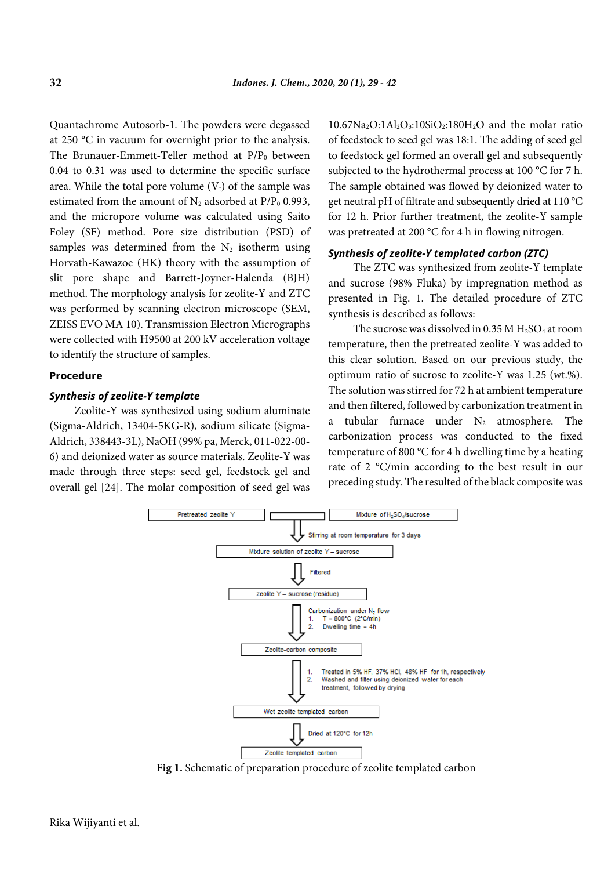Quantachrome Autosorb-1. The powders were degassed at 250 °C in vacuum for overnight prior to the analysis. The Brunauer-Emmett-Teller method at  $P/P_0$  between 0.04 to 0.31 was used to determine the specific surface area. While the total pore volume  $(V_t)$  of the sample was estimated from the amount of  $N_2$  adsorbed at  $P/P_0$  0.993, and the micropore volume was calculated using Saito Foley (SF) method. Pore size distribution (PSD) of samples was determined from the  $N_2$  isotherm using Horvath-Kawazoe (HK) theory with the assumption of slit pore shape and Barrett-Joyner-Halenda (BJH) method. The morphology analysis for zeolite-Y and ZTC was performed by scanning electron microscope (SEM, ZEISS EVO MA 10). Transmission Electron Micrographs were collected with H9500 at 200 kV acceleration voltage to identify the structure of samples.

#### **Procedure**

## *Synthesis of zeolite-Y template*

Zeolite-Y was synthesized using sodium aluminate (Sigma-Aldrich, 13404-5KG-R), sodium silicate (Sigma-Aldrich, 338443-3L), NaOH (99% pa, Merck, 011-022-00- 6) and deionized water as source materials. Zeolite-Y was made through three steps: seed gel, feedstock gel and overall gel [24]. The molar composition of seed gel was

 $10.67\text{Na}_2\text{O}:1\text{Al}_2\text{O}_3:10\text{SiO}_2:180\text{H}_2\text{O}$  and the molar ratio of feedstock to seed gel was 18:1. The adding of seed gel to feedstock gel formed an overall gel and subsequently subjected to the hydrothermal process at 100 °C for 7 h. The sample obtained was flowed by deionized water to get neutral pH of filtrate and subsequently dried at 110 °C for 12 h. Prior further treatment, the zeolite-Y sample was pretreated at 200 °C for 4 h in flowing nitrogen.

## *Synthesis of zeolite-Y templated carbon (ZTC)*

The ZTC was synthesized from zeolite-Y template and sucrose (98% Fluka) by impregnation method as presented in Fig. 1. The detailed procedure of ZTC synthesis is described as follows:

The sucrose was dissolved in 0.35 M  $H<sub>2</sub>SO<sub>4</sub>$  at room temperature, then the pretreated zeolite-Y was added to this clear solution. Based on our previous study, the optimum ratio of sucrose to zeolite-Y was 1.25 (wt.%). The solution was stirred for 72 h at ambient temperature and then filtered, followed by carbonization treatment in a tubular furnace under  $N_2$  atmosphere. The carbonization process was conducted to the fixed temperature of 800 °C for 4 h dwelling time by a heating rate of 2 °C/min according to the best result in our preceding study. The resulted of the black composite was



**Fig 1.** Schematic of preparation procedure of zeolite templated carbon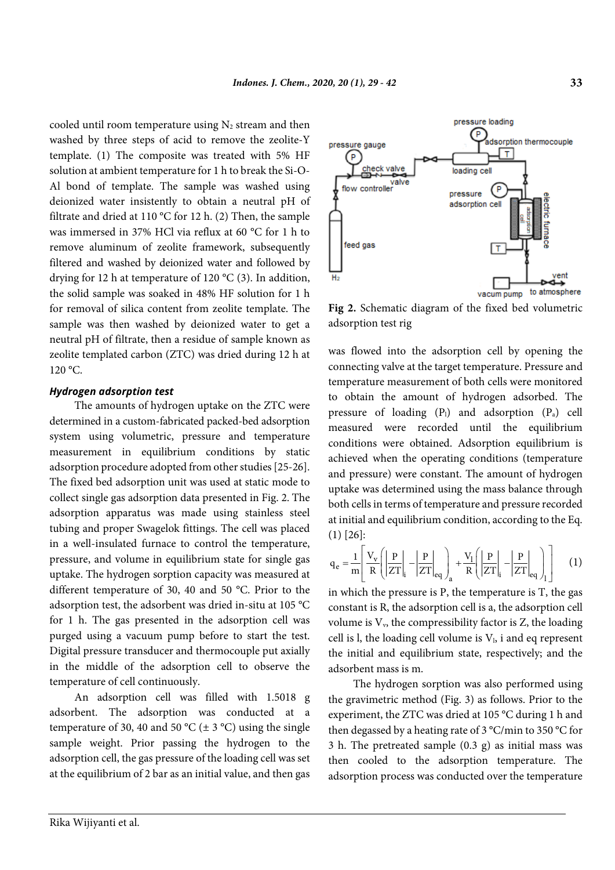cooled until room temperature using  $N_2$  stream and then washed by three steps of acid to remove the zeolite-Y template. (1) The composite was treated with 5% HF solution at ambient temperature for 1 h to break the Si-O-Al bond of template. The sample was washed using deionized water insistently to obtain a neutral pH of filtrate and dried at 110 °C for 12 h. (2) Then, the sample was immersed in 37% HCl via reflux at 60 °C for 1 h to remove aluminum of zeolite framework, subsequently filtered and washed by deionized water and followed by drying for 12 h at temperature of 120 °C (3). In addition, the solid sample was soaked in 48% HF solution for 1 h for removal of silica content from zeolite template. The sample was then washed by deionized water to get a neutral pH of filtrate, then a residue of sample known as zeolite templated carbon (ZTC) was dried during 12 h at  $120 \degree C$ .

#### *Hydrogen adsorption test*

The amounts of hydrogen uptake on the ZTC were determined in a custom-fabricated packed-bed adsorption system using volumetric, pressure and temperature measurement in equilibrium conditions by static adsorption procedure adopted from other studies [25-26]. The fixed bed adsorption unit was used at static mode to collect single gas adsorption data presented in [Fig.](#page-4-0) 2. The adsorption apparatus was made using stainless steel tubing and proper Swagelok fittings. The cell was placed in a well-insulated furnace to control the temperature, pressure, and volume in equilibrium state for single gas uptake. The hydrogen sorption capacity was measured at different temperature of 30, 40 and 50 °C. Prior to the adsorption test, the adsorbent was dried in-situ at 105 °C for 1 h. The gas presented in the adsorption cell was purged using a vacuum pump before to start the test. Digital pressure transducer and thermocouple put axially in the middle of the adsorption cell to observe the temperature of cell continuously.

An adsorption cell was filled with 1.5018 g adsorbent. The adsorption was conducted at a temperature of 30, 40 and 50 °C ( $\pm$  3 °C) using the single sample weight. Prior passing the hydrogen to the adsorption cell, the gas pressure of the loading cell was set at the equilibrium of 2 bar as an initial value, and then gas



<span id="page-4-0"></span>**Fig 2.** Schematic diagram of the fixed bed volumetric adsorption test rig

was flowed into the adsorption cell by opening the connecting valve at the target temperature. Pressure and temperature measurement of both cells were monitored to obtain the amount of hydrogen adsorbed. The pressure of loading  $(P_1)$  and adsorption  $(P_a)$  cell measured were recorded until the equilibrium conditions were obtained. Adsorption equilibrium is achieved when the operating conditions (temperature and pressure) were constant. The amount of hydrogen uptake was determined using the mass balance through both cells in terms of temperature and pressure recorded at initial and equilibrium condition, according to the Eq. (1) [26]:

$$
q_e = \frac{1}{m} \left[ \frac{V_v}{R} \left( \left| \frac{P}{ZT} \right|_i - \left| \frac{P}{ZT} \right|_{eq} \right)_a + \frac{V_l}{R} \left( \left| \frac{P}{ZT} \right|_i - \left| \frac{P}{ZT} \right|_{eq} \right)_l \right] \tag{1}
$$

in which the pressure is P, the temperature is T, the gas constant is R, the adsorption cell is a, the adsorption cell volume is  $V_v$ , the compressibility factor is Z, the loading cell is l, the loading cell volume is  $V<sub>1</sub>$ , i and eq represent the initial and equilibrium state, respectively; and the adsorbent mass is m.

The hydrogen sorption was also performed using the gravimetric method (Fig. 3) as follows. Prior to the experiment, the ZTC was dried at 105 °C during 1 h and then degassed by a heating rate of 3 °C/min to 350 °C for 3 h. The pretreated sample (0.3 g) as initial mass was then cooled to the adsorption temperature. The adsorption process was conducted over the temperature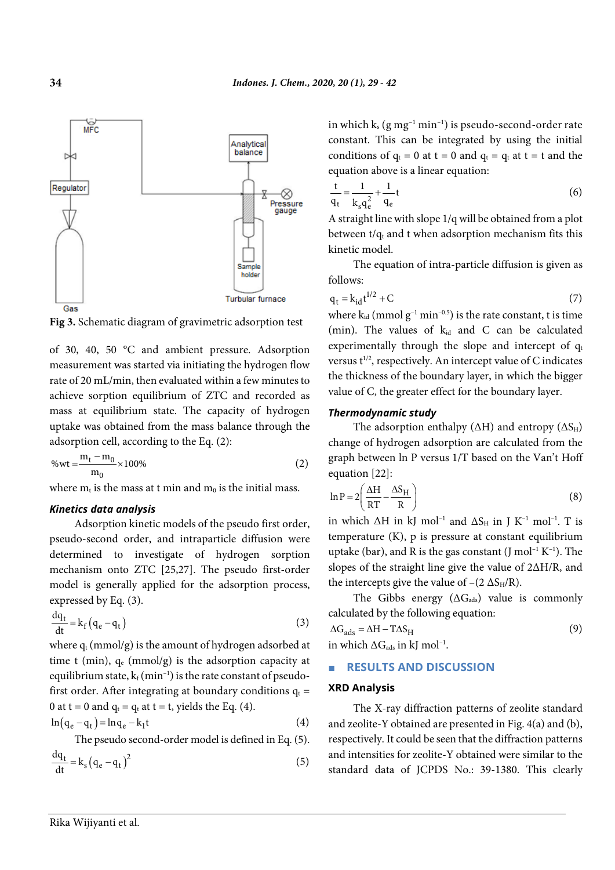

**Fig 3.** Schematic diagram of gravimetric adsorption test

of 30, 40, 50 °C and ambient pressure. Adsorption measurement was started via initiating the hydrogen flow rate of 20 mL/min, then evaluated within a few minutes to achieve sorption equilibrium of ZTC and recorded as mass at equilibrium state. The capacity of hydrogen uptake was obtained from the mass balance through the adsorption cell, according to the Eq. (2):

$$
\% \text{wt} = \frac{m_t - m_0}{m_0} \times 100\% \tag{2}
$$

where  $m_t$  is the mass at t min and  $m_0$  is the initial mass.

#### *Kinetics data analysis*

Adsorption kinetic models of the pseudo first order, pseudo-second order, and intraparticle diffusion were determined to investigate of hydrogen sorption mechanism onto ZTC [25,27]. The pseudo first-order model is generally applied for the adsorption process, expressed by Eq. (3).

$$
\frac{dq_t}{dt} = k_f (q_e - q_t)
$$
 (3)

where  $q_t$  (mmol/g) is the amount of hydrogen adsorbed at time t (min),  $q_e$  (mmol/g) is the adsorption capacity at equilibrium state,  $k_f (min^{-1})$  is the rate constant of pseudofirst order. After integrating at boundary conditions  $q_t =$ 0 at t = 0 and  $q_t = q_t$  at t = t, yields the Eq. (4).

$$
\ln(q_e - q_t) = \ln q_e - k_1 t \tag{4}
$$

The pseudo second-order model is defined in Eq. (5).

$$
\frac{dq_t}{dt} = k_s (q_e - q_t)^2
$$
\n(5)

in which  $k_s$  (g mg<sup>-1</sup> min<sup>-1</sup>) is pseudo-second-order rate constant. This can be integrated by using the initial conditions of  $q_t = 0$  at  $t = 0$  and  $q_t = q_t$  at  $t = t$  and the equation above is a linear equation:

$$
\frac{t}{q_t} = \frac{1}{k_s q_e^2} + \frac{1}{q_e}t
$$
 (6)

A straight line with slope 1/q will be obtained from a plot between  $t/q_t$  and t when adsorption mechanism fits this kinetic model.

The equation of intra-particle diffusion is given as follows:

$$
q_t = k_{id}t^{1/2} + C \tag{7}
$$

where  $k_{id}$  (mmol  $g^{-1}$  min<sup>-0.5</sup>) is the rate constant, t is time (min). The values of  $k_{id}$  and C can be calculated experimentally through the slope and intercept of  $q_t$ versus t<sup>1/2</sup>, respectively. An intercept value of C indicates the thickness of the boundary layer, in which the bigger value of C, the greater effect for the boundary layer.

## *Thermodynamic study*

The adsorption enthalpy ( $\Delta H$ ) and entropy ( $\Delta S_H$ ) change of hydrogen adsorption are calculated from the graph between ln P versus 1/T based on the Van't Hoff equation [22]:

$$
\ln P = 2 \left( \frac{\Delta H}{RT} - \frac{\Delta S_H}{R} \right) \tag{8}
$$

in which  $\Delta H$  in kJ mol<sup>-1</sup> and  $\Delta S_H$  in J K<sup>-1</sup> mol<sup>-1</sup>. T is temperature (K), p is pressure at constant equilibrium uptake (bar), and R is the gas constant (J mol<sup>-1</sup> K<sup>-1</sup>). The slopes of the straight line give the value of 2ΔH/R, and the intercepts give the value of  $-(2 \Delta S_H/R)$ .

The Gibbs energy  $(\Delta G_{\text{ads}})$  value is commonly calculated by the following equation:

$$
\Delta G_{ads} = \Delta H - T\Delta S_H
$$
\n(9)

in which  $\Delta G_{ads}$  in kJ mol<sup>-1</sup>.

#### ■ **RESULTS AND DISCUSSION**

#### **XRD Analysis**

The X-ray diffraction patterns of zeolite standard and zeolite-Y obtained are presented i[n Fig.](#page-6-0) 4(a) and (b), respectively. It could be seen that the diffraction patterns and intensities for zeolite-Y obtained were similar to the standard data of JCPDS No.: 39-1380. This clearly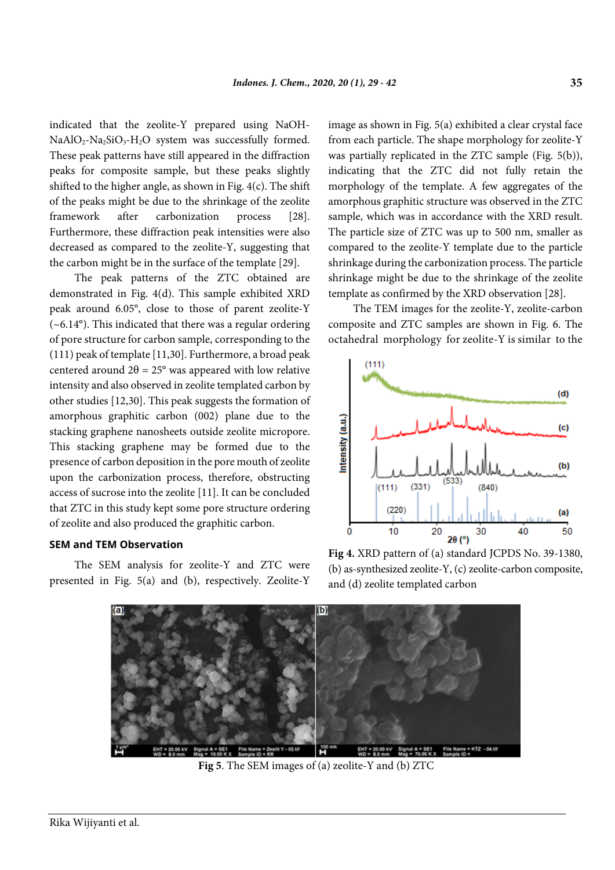indicated that the zeolite-Y prepared using NaOH- $NaAlO<sub>2</sub>-Na<sub>2</sub>SiO<sub>3</sub>-H<sub>2</sub>O$  system was successfully formed. These peak patterns have still appeared in the diffraction peaks for composite sample, but these peaks slightly shifted to the higher angle, as shown in [Fig.](#page-6-0) 4(c). The shift of the peaks might be due to the shrinkage of the zeolite framework after carbonization process [28]. Furthermore, these diffraction peak intensities were also decreased as compared to the zeolite-Y, suggesting that the carbon might be in the surface of the template [29].

The peak patterns of the ZTC obtained are demonstrated in [Fig.](#page-6-0) 4(d). This sample exhibited XRD peak around 6.05°, close to those of parent zeolite-Y  $(-6.14^{\circ})$ . This indicated that there was a regular ordering of pore structure for carbon sample, corresponding to the (111) peak of template [11,30]. Furthermore, a broad peak centered around  $2\theta = 25^{\circ}$  was appeared with low relative intensity and also observed in zeolite templated carbon by other studies [12,30]. This peak suggests the formation of amorphous graphitic carbon (002) plane due to the stacking graphene nanosheets outside zeolite micropore. This stacking graphene may be formed due to the presence of carbon deposition in the pore mouth of zeolite upon the carbonization process, therefore, obstructing access of sucrose into the zeolite [11]. It can be concluded that ZTC in this study kept some pore structure ordering of zeolite and also produced the graphitic carbon.

## **SEM and TEM Observation**

The SEM analysis for zeolite-Y and ZTC were presented in [Fig.](#page-6-1) 5(a) and (b), respectively. Zeolite-Y image as shown i[n Fig.](#page-6-1) 5(a) exhibited a clear crystal face from each particle. The shape morphology for zeolite-Y was partially replicated in the ZTC sample [\(Fig.](#page-6-1) 5(b)), indicating that the ZTC did not fully retain the morphology of the template. A few aggregates of the amorphous graphitic structure was observed in the ZTC sample, which was in accordance with the XRD result. The particle size of ZTC was up to 500 nm, smaller as compared to the zeolite-Y template due to the particle shrinkage during the carbonization process. The particle shrinkage might be due to the shrinkage of the zeolite template as confirmed by the XRD observation [28].

The TEM images for the zeolite-Y, zeolite-carbon composite and ZTC samples are shown in [Fig.](#page-7-0) 6. The octahedral morphology for zeolite-Y is similar to the



<span id="page-6-0"></span>**Fig 4.** XRD pattern of (a) standard JCPDS No. 39-1380, (b) as-synthesized zeolite-Y, (c) zeolite-carbon composite, and (d) zeolite templated carbon



<span id="page-6-1"></span>**Fig 5**. The SEM images of (a) zeolite-Y and (b) ZTC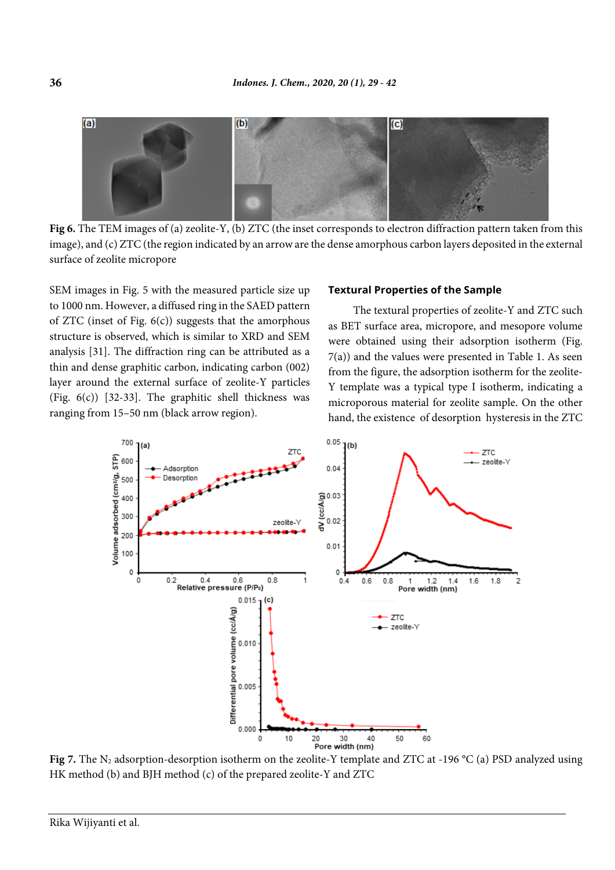

<span id="page-7-0"></span>**Fig 6.** The TEM images of (a) zeolite-Y, (b) ZTC (the inset corresponds to electron diffraction pattern taken from this image), and (c) ZTC (the region indicated by an arrow are the dense amorphous carbon layers deposited in the external surface of zeolite micropore

SEM images in [Fig.](#page-6-1) 5 with the measured particle size up to 1000 nm. However, a diffused ring in the SAED pattern of ZTC (inset of [Fig.](#page-7-0)  $6(c)$ ) suggests that the amorphous structure is observed, which is similar to XRD and SEM analysis [31]. The diffraction ring can be attributed as a thin and dense graphitic carbon, indicating carbon (002) layer around the external surface of zeolite-Y particles [\(Fig.](#page-7-0) 6(c)) [32-33]. The graphitic shell thickness was ranging from 15–50 nm (black arrow region).

#### **Textural Properties of the Sample**

The textural properties of zeolite-Y and ZTC such as BET surface area, micropore, and mesopore volume were obtained using their adsorption isotherm [\(Fig.](#page-7-1) [7\(](#page-7-1)a)) and the values were presented in Table 1. As seen from the figure, the adsorption isotherm for the zeolite-Y template was a typical type I isotherm, indicating a microporous material for zeolite sample. On the other hand, the existence of desorption hysteresis in the ZTC



<span id="page-7-1"></span>**Fig 7.** The N<sub>2</sub> adsorption-desorption isotherm on the zeolite-Y template and ZTC at -196 °C (a) PSD analyzed using HK method (b) and BJH method (c) of the prepared zeolite-Y and ZTC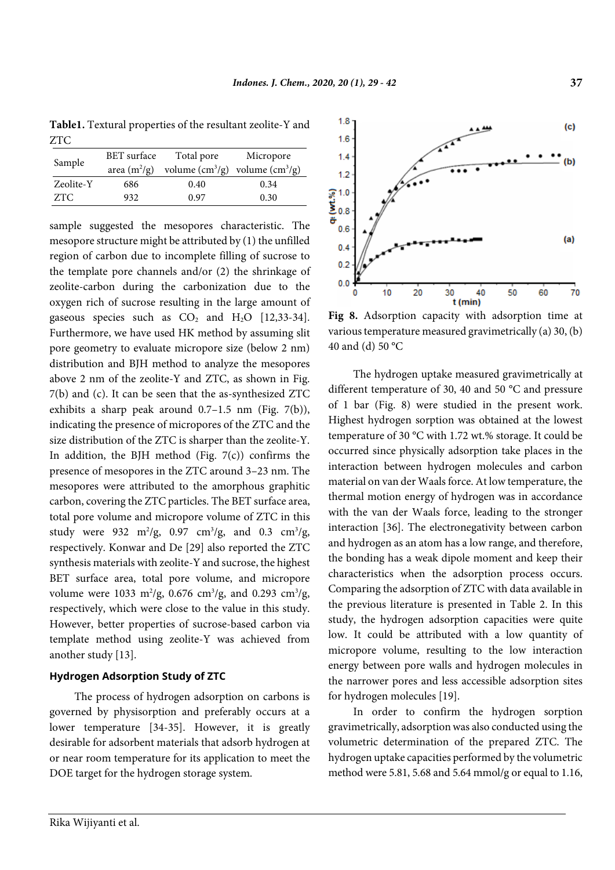**Table1.** Textural properties of the resultant zeolite-Y and ZTC

| Sample    | BET surface    | Total pore           | Micropore            |  |
|-----------|----------------|----------------------|----------------------|--|
|           | area $(m^2/g)$ | volume $\rm(cm^3/g)$ | volume $\rm(cm^3/g)$ |  |
| Zeolite-Y | 686            | 0.40                 | 0.34                 |  |
| ZTC       | 932            | 0.97                 | 0.30                 |  |

sample suggested the mesopores characteristic. The mesopore structure might be attributed by (1) the unfilled region of carbon due to incomplete filling of sucrose to the template pore channels and/or (2) the shrinkage of zeolite-carbon during the carbonization due to the oxygen rich of sucrose resulting in the large amount of gaseous species such as  $CO<sub>2</sub>$  and  $H<sub>2</sub>O$  [12,33-34]. Furthermore, we have used HK method by assuming slit pore geometry to evaluate micropore size (below 2 nm) distribution and BJH method to analyze the mesopores above 2 nm of the zeolite-Y and ZTC, as shown in [Fig.](#page-7-1) [7\(](#page-7-1)b) and (c). It can be seen that the as-synthesized ZTC exhibits a sharp peak around  $0.7-1.5$  nm [\(Fig.](#page-7-1) 7(b)), indicating the presence of micropores of the ZTC and the size distribution of the ZTC is sharper than the zeolite-Y. In addition, the BJH method [\(Fig.](#page-7-1)  $7(c)$ ) confirms the presence of mesopores in the ZTC around 3–23 nm. The mesopores were attributed to the amorphous graphitic carbon, covering the ZTC particles. The BET surface area, total pore volume and micropore volume of ZTC in this study were 932  $m^2/g$ , 0.97  $cm^3/g$ , and 0.3  $cm^3/g$ , respectively. Konwar and De [29] also reported the ZTC synthesis materials with zeolite-Y and sucrose, the highest BET surface area, total pore volume, and micropore volume were 1033 m<sup>2</sup>/g, 0.676 cm<sup>3</sup>/g, and 0.293 cm<sup>3</sup>/g, respectively, which were close to the value in this study. However, better properties of sucrose-based carbon via template method using zeolite-Y was achieved from another study [13].

## **Hydrogen Adsorption Study of ZTC**

The process of hydrogen adsorption on carbons is governed by physisorption and preferably occurs at a lower temperature [34-35]. However, it is greatly desirable for adsorbent materials that adsorb hydrogen at or near room temperature for its application to meet the DOE target for the hydrogen storage system.



**Fig 8.** Adsorption capacity with adsorption time at various temperature measured gravimetrically (a) 30, (b) 40 and (d) 50 °C

The hydrogen uptake measured gravimetrically at different temperature of 30, 40 and 50 °C and pressure of 1 bar (Fig. 8) were studied in the present work. Highest hydrogen sorption was obtained at the lowest temperature of 30 °C with 1.72 wt.% storage. It could be occurred since physically adsorption take places in the interaction between hydrogen molecules and carbon material on van der Waals force. At low temperature, the thermal motion energy of hydrogen was in accordance with the van der Waals force, leading to the stronger interaction [36]. The electronegativity between carbon and hydrogen as an atom has a low range, and therefore, the bonding has a weak dipole moment and keep their characteristics when the adsorption process occurs. Comparing the adsorption of ZTC with data available in the previous literature is presented in Table 2. In this study, the hydrogen adsorption capacities were quite low. It could be attributed with a low quantity of micropore volume, resulting to the low interaction energy between pore walls and hydrogen molecules in the narrower pores and less accessible adsorption sites for hydrogen molecules [19].

In order to confirm the hydrogen sorption gravimetrically, adsorption was also conducted using the volumetric determination of the prepared ZTC. The hydrogen uptake capacities performed by the volumetric method were 5.81, 5.68 and 5.64 mmol/g or equal to 1.16,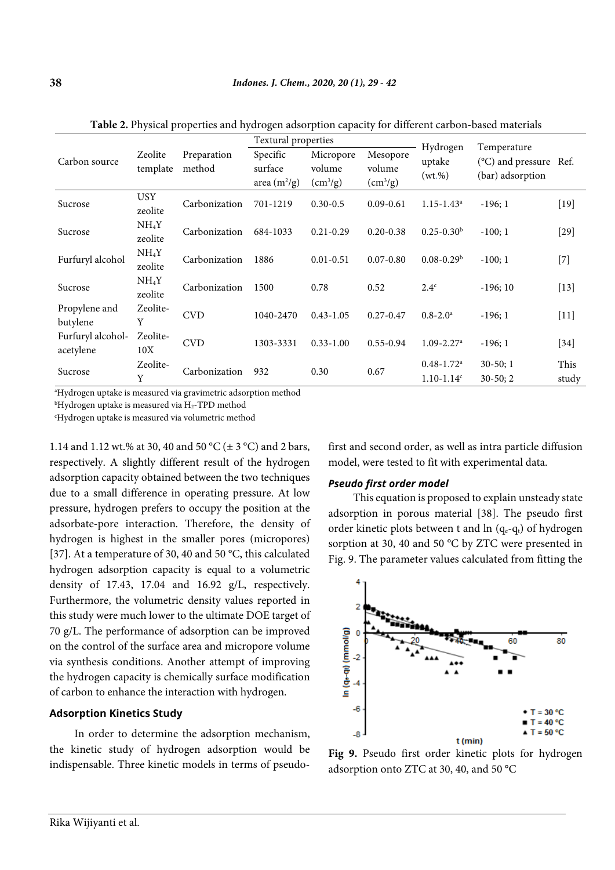|                                | Zeolite<br>template          | Preparation<br>method | Textural properties                   |                                             |                                      | Hydrogen                                                 | Temperature                                |               |
|--------------------------------|------------------------------|-----------------------|---------------------------------------|---------------------------------------------|--------------------------------------|----------------------------------------------------------|--------------------------------------------|---------------|
| Carbon source                  |                              |                       | Specific<br>surface<br>area $(m^2/g)$ | Micropore<br>volume<br>(cm <sup>3</sup> /g) | Mesopore<br>volume<br>$\rm (cm^3/g)$ | uptake<br>(wt.%)                                         | (°C) and pressure Ref.<br>(bar) adsorption |               |
| Sucrose                        | <b>USY</b><br>zeolite        | Carbonization         | 701-1219                              | $0.30 - 0.5$                                | $0.09 - 0.61$                        | $1.15 - 1.43$ <sup>a</sup>                               | $-196;1$                                   | $[19]$        |
| Sucrose                        | NH <sub>4</sub> Y<br>zeolite | Carbonization         | 684-1033                              | $0.21 - 0.29$                               | $0.20 - 0.38$                        | $0.25 - 0.30b$                                           | $-100;1$                                   | $[29]$        |
| Furfuryl alcohol               | NH <sub>4</sub> Y<br>zeolite | Carbonization         | 1886                                  | $0.01 - 0.51$                               | $0.07 - 0.80$                        | $0.08 - 0.29$ <sup>b</sup>                               | $-100;1$                                   | $[7]$         |
| Sucrose                        | NH <sub>4</sub> Y<br>zeolite | Carbonization         | 1500                                  | 0.78                                        | 0.52                                 | 2.4 <sup>c</sup>                                         | $-196;10$                                  | $[13]$        |
| Propylene and<br>butylene      | Zeolite-<br>Y                | <b>CVD</b>            | 1040-2470                             | $0.43 - 1.05$                               | $0.27 - 0.47$                        | $0.8 - 2.0^{\rm a}$                                      | $-196;1$                                   | $[11]$        |
| Furfuryl alcohol-<br>acetylene | Zeolite-<br>10X              | <b>CVD</b>            | 1303-3331                             | $0.33 - 1.00$                               | $0.55 - 0.94$                        | $1.09 - 2.27$ <sup>a</sup>                               | $-196;1$                                   | $[34]$        |
| Sucrose                        | Zeolite-<br>Y                | Carbonization         | 932                                   | 0.30                                        | 0.67                                 | $0.48 - 1.72$ <sup>a</sup><br>$1.10 - 1.14$ <sup>c</sup> | $30-50;1$<br>$30-50; 2$                    | This<br>study |

**Table 2.** Physical properties and hydrogen adsorption capacity for different carbon-based materials

a Hydrogen uptake is measured via gravimetric adsorption method

b Hydrogen uptake is measured via H2-TPD method

c Hydrogen uptake is measured via volumetric method

1.14 and 1.12 wt.% at 30, 40 and 50 °C (± 3 °C) and 2 bars, respectively. A slightly different result of the hydrogen adsorption capacity obtained between the two techniques due to a small difference in operating pressure. At low pressure, hydrogen prefers to occupy the position at the adsorbate-pore interaction. Therefore, the density of hydrogen is highest in the smaller pores (micropores) [37]. At a temperature of 30, 40 and 50 °C, this calculated hydrogen adsorption capacity is equal to a volumetric density of 17.43, 17.04 and 16.92 g/L, respectively. Furthermore, the volumetric density values reported in this study were much lower to the ultimate DOE target of 70 g/L. The performance of adsorption can be improved on the control of the surface area and micropore volume via synthesis conditions. Another attempt of improving the hydrogen capacity is chemically surface modification of carbon to enhance the interaction with hydrogen.

# **Adsorption Kinetics Study**

In order to determine the adsorption mechanism, the kinetic study of hydrogen adsorption would be indispensable. Three kinetic models in terms of pseudofirst and second order, as well as intra particle diffusion model, were tested to fit with experimental data.

## *Pseudo first order model*

This equation is proposed to explain unsteady state adsorption in porous material [38]. The pseudo first order kinetic plots between t and  $\ln (q_e-q_t)$  of hydrogen sorption at 30, 40 and 50 °C by ZTC were presented in Fig. 9. The parameter values calculated from fitting the



**Fig 9.** Pseudo first order kinetic plots for hydrogen adsorption onto ZTC at 30, 40, and 50 °C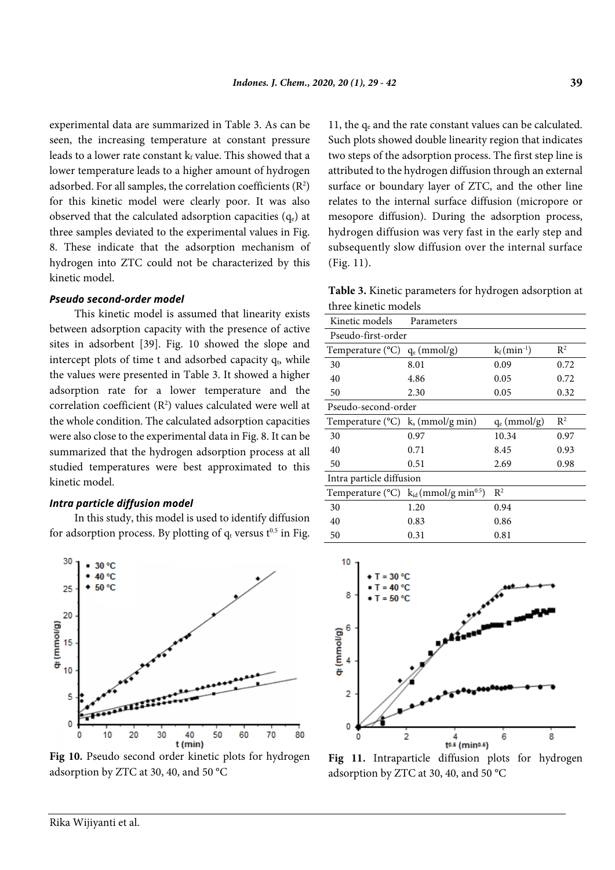experimental data are summarized in Table 3. As can be seen, the increasing temperature at constant pressure leads to a lower rate constant  $k_f$  value. This showed that a lower temperature leads to a higher amount of hydrogen adsorbed. For all samples, the correlation coefficients  $(R^2)$ for this kinetic model were clearly poor. It was also observed that the calculated adsorption capacities  $(q_e)$  at three samples deviated to the experimental values in Fig. 8. These indicate that the adsorption mechanism of hydrogen into ZTC could not be characterized by this kinetic model.

## *Pseudo second-order model*

This kinetic model is assumed that linearity exists between adsorption capacity with the presence of active sites in adsorbent [39]. Fig. 10 showed the slope and intercept plots of time t and adsorbed capacity  $q<sub>b</sub>$ , while the values were presented in Table 3. It showed a higher adsorption rate for a lower temperature and the correlation coefficient  $(R^2)$  values calculated were well at the whole condition. The calculated adsorption capacities were also close to the experimental data in Fig. 8. It can be summarized that the hydrogen adsorption process at all studied temperatures were best approximated to this kinetic model.

#### *Intra particle diffusion model*

In this study, this model is used to identify diffusion for adsorption process. By plotting of  $q_t$  versus  $t^{0.5}$  in Fig.



**Fig 10.** Pseudo second order kinetic plots for hydrogen adsorption by ZTC at 30, 40, and 50 °C

11, the  $q_e$  and the rate constant values can be calculated. Such plots showed double linearity region that indicates two steps of the adsorption process. The first step line is attributed to the hydrogen diffusion through an external surface or boundary layer of ZTC, and the other line relates to the internal surface diffusion (micropore or mesopore diffusion). During the adsorption process, hydrogen diffusion was very fast in the early step and subsequently slow diffusion over the internal surface (Fig. 11).

**Table 3.** Kinetic parameters for hydrogen adsorption at three kinetic models

| Kinetic models                                          | Parameters                                                               |                 |       |  |  |  |
|---------------------------------------------------------|--------------------------------------------------------------------------|-----------------|-------|--|--|--|
| Pseudo-first-order                                      |                                                                          |                 |       |  |  |  |
| Temperature $(^{\circ}C)$                               | $q_e$ (mmol/g)                                                           | $k_f(min^{-1})$ | $R^2$ |  |  |  |
| 30                                                      | 8.01                                                                     | 0.09            | 0.72  |  |  |  |
| 40                                                      | 4.86                                                                     | 0.05            | 0.72  |  |  |  |
| 50                                                      | 2.30                                                                     | 0.05            | 0.32  |  |  |  |
| Pseudo-second-order                                     |                                                                          |                 |       |  |  |  |
| Temperature ( $^{\circ}$ C) k <sub>s</sub> (mmol/g min) |                                                                          | $q_e$ (mmol/g)  | $R^2$ |  |  |  |
| 30                                                      | 0.97                                                                     | 10.34           | 0.97  |  |  |  |
| 40                                                      | 0.71                                                                     | 8.45            | 0.93  |  |  |  |
| 50                                                      | 0.51                                                                     | 2.69            | 0.98  |  |  |  |
| Intra particle diffusion                                |                                                                          |                 |       |  |  |  |
|                                                         | Temperature ( $^{\circ}$ C) k <sub>id</sub> (mmol/g min <sup>0.5</sup> ) | $R^2$           |       |  |  |  |
| 30                                                      | 1.20                                                                     | 0.94            |       |  |  |  |
| 40                                                      | 0.83                                                                     | 0.86            |       |  |  |  |
| 50                                                      | 0.31                                                                     | 0.81            |       |  |  |  |



**Fig 11.** Intraparticle diffusion plots for hydrogen adsorption by ZTC at 30, 40, and 50 °C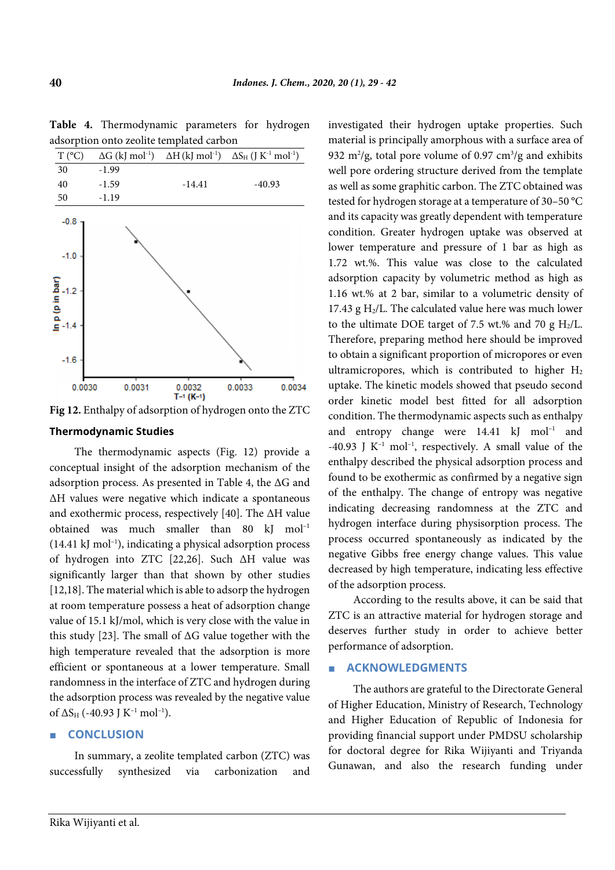

**Table 4.** Thermodynamic parameters for hydrogen adsorption onto zeolite templated carbon

**Fig 12.** Enthalpy of adsorption of hydrogen onto the ZTC

## **Thermodynamic Studies**

The thermodynamic aspects (Fig. 12) provide a conceptual insight of the adsorption mechanism of the adsorption process. As presented in Table 4, the ΔG and ΔH values were negative which indicate a spontaneous and exothermic process, respectively [40]. The ΔH value obtained was much smaller than  $80 \text{ kJ} \text{ mol}^{-1}$ (14.41 kJ mol–1 ), indicating a physical adsorption process of hydrogen into ZTC [22,26]. Such ΔH value was significantly larger than that shown by other studies [12,18]. The material which is able to adsorp the hydrogen at room temperature possess a heat of adsorption change value of 15.1 kJ/mol, which is very close with the value in this study [23]. The small of  $\Delta G$  value together with the high temperature revealed that the adsorption is more efficient or spontaneous at a lower temperature. Small randomness in the interface of ZTC and hydrogen during the adsorption process was revealed by the negative value of  $\Delta S_H$  (-40.93 J K<sup>-1</sup> mol<sup>-1</sup>).

# ■ **CONCLUSION**

In summary, a zeolite templated carbon (ZTC) was successfully synthesized via carbonization and investigated their hydrogen uptake properties. Such material is principally amorphous with a surface area of 932 m<sup>2</sup>/g, total pore volume of 0.97 cm<sup>3</sup>/g and exhibits well pore ordering structure derived from the template as well as some graphitic carbon. The ZTC obtained was tested for hydrogen storage at a temperature of 30–50 °C and its capacity was greatly dependent with temperature condition. Greater hydrogen uptake was observed at lower temperature and pressure of 1 bar as high as 1.72 wt.%. This value was close to the calculated adsorption capacity by volumetric method as high as 1.16 wt.% at 2 bar, similar to a volumetric density of 17.43 g  $H<sub>2</sub>/L$ . The calculated value here was much lower to the ultimate DOE target of 7.5 wt.% and 70 g  $H_2/L$ . Therefore, preparing method here should be improved to obtain a significant proportion of micropores or even ultramicropores, which is contributed to higher  $H_2$ uptake. The kinetic models showed that pseudo second order kinetic model best fitted for all adsorption condition. The thermodynamic aspects such as enthalpy and entropy change were  $14.41 \text{ kJ} \text{ mol}^{-1}$  and -40.93 J  $K^{-1}$  mol<sup>-1</sup>, respectively. A small value of the enthalpy described the physical adsorption process and found to be exothermic as confirmed by a negative sign of the enthalpy. The change of entropy was negative indicating decreasing randomness at the ZTC and hydrogen interface during physisorption process. The process occurred spontaneously as indicated by the negative Gibbs free energy change values. This value decreased by high temperature, indicating less effective of the adsorption process.

According to the results above, it can be said that ZTC is an attractive material for hydrogen storage and deserves further study in order to achieve better performance of adsorption.

## ■ **ACKNOWLEDGMENTS**

The authors are grateful to the Directorate General of Higher Education, Ministry of Research, Technology and Higher Education of Republic of Indonesia for providing financial support under PMDSU scholarship for doctoral degree for Rika Wijiyanti and Triyanda Gunawan, and also the research funding under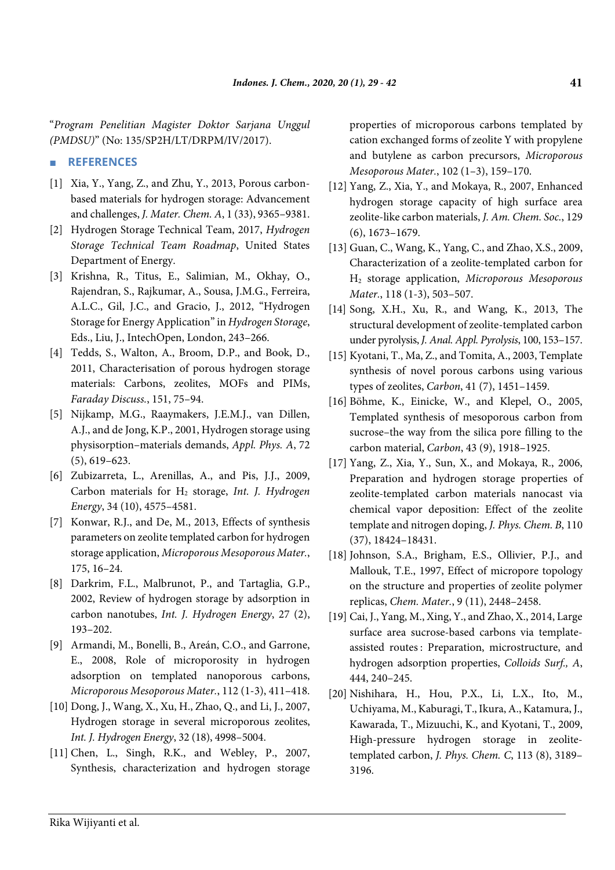"*Program Penelitian Magister Doktor Sarjana Unggul (PMDSU)*" (No: 135/SP2H/LT/DRPM/IV/2017).

## ■ **REFERENCES**

- [1] Xia, Y., Yang, Z., and Zhu, Y., 2013, Porous carbonbased materials for hydrogen storage: Advancement and challenges, *J. Mater. Chem. A*, 1 (33), 9365–9381.
- [2] Hydrogen Storage Technical Team, 2017, *Hydrogen Storage Technical Team Roadmap*, United States Department of Energy.
- [3] Krishna, R., Titus, E., Salimian, M., Okhay, O., Rajendran, S., Rajkumar, A., Sousa, J.M.G., Ferreira, A.L.C., Gil, J.C., and Gracio, J., 2012, "Hydrogen Storage for Energy Application" in *Hydrogen Storage*, Eds., Liu, J., IntechOpen, London, 243–266.
- [4] Tedds, S., Walton, A., Broom, D.P., and Book, D., 2011, Characterisation of porous hydrogen storage materials: Carbons, zeolites, MOFs and PIMs, *Faraday Discuss.*, 151, 75–94.
- [5] Nijkamp, M.G., Raaymakers, J.E.M.J., van Dillen, A.J., and de Jong, K.P., 2001, Hydrogen storage using physisorption–materials demands, *Appl. Phys. A*, 72 (5), 619–623.
- [6] Zubizarreta, L., Arenillas, A., and Pis, J.J., 2009, Carbon materials for H2 storage, *Int. J. Hydrogen Energy*, 34 (10), 4575–4581.
- [7] Konwar, R.J., and De, M., 2013, Effects of synthesis parameters on zeolite templated carbon for hydrogen storage application, *Microporous Mesoporous Mater.*, 175, 16–24.
- [8] Darkrim, F.L., Malbrunot, P., and Tartaglia, G.P., 2002, Review of hydrogen storage by adsorption in carbon nanotubes, *Int. J. Hydrogen Energy*, 27 (2), 193–202.
- [9] Armandi, M., Bonelli, B., Areán, C.O., and Garrone, E., 2008, Role of microporosity in hydrogen adsorption on templated nanoporous carbons, *Microporous Mesoporous Mater.*, 112 (1-3), 411–418.
- [10] Dong, J., Wang, X., Xu, H., Zhao, Q., and Li, J., 2007, Hydrogen storage in several microporous zeolites, *Int. J. Hydrogen Energy*, 32 (18), 4998–5004.
- [11] Chen, L., Singh, R.K., and Webley, P., 2007, Synthesis, characterization and hydrogen storage

properties of microporous carbons templated by cation exchanged forms of zeolite Y with propylene and butylene as carbon precursors, *Microporous Mesoporous Mater.*, 102 (1–3), 159–170.

- [12] Yang, Z., Xia, Y., and Mokaya, R., 2007, Enhanced hydrogen storage capacity of high surface area zeolite-like carbon materials, *J. Am. Chem. Soc.*, 129 (6), 1673–1679.
- [13] Guan, C., Wang, K., Yang, C., and Zhao, X.S., 2009, Characterization of a zeolite-templated carbon for H2 storage application, *Microporous Mesoporous Mater.*, 118 (1-3), 503–507.
- [14] Song, X.H., Xu, R., and Wang, K., 2013, The structural development of zeolite-templated carbon under pyrolysis, *J. Anal. Appl. Pyrolysis*, 100, 153–157.
- [15] Kyotani, T., Ma, Z., and Tomita, A., 2003, Template synthesis of novel porous carbons using various types of zeolites, *Carbon*, 41 (7), 1451–1459.
- [16] Böhme, K., Einicke, W., and Klepel, O., 2005, Templated synthesis of mesoporous carbon from sucrose–the way from the silica pore filling to the carbon material, *Carbon*, 43 (9), 1918–1925.
- [17] Yang, Z., Xia, Y., Sun, X., and Mokaya, R., 2006, Preparation and hydrogen storage properties of zeolite-templated carbon materials nanocast via chemical vapor deposition: Effect of the zeolite template and nitrogen doping, *J. Phys. Chem. B*, 110 (37), 18424–18431.
- [18] Johnson, S.A., Brigham, E.S., Ollivier, P.J., and Mallouk, T.E., 1997, Effect of micropore topology on the structure and properties of zeolite polymer replicas, *Chem. Mater.*, 9 (11), 2448–2458.
- [19] Cai, J., Yang, M., Xing, Y., and Zhao, X., 2014, Large surface area sucrose-based carbons via templateassisted routes : Preparation, microstructure, and hydrogen adsorption properties, *Colloids Surf., A*, 444, 240–245.
- [20] Nishihara, H., Hou, P.X., Li, L.X., Ito, M., Uchiyama, M., Kaburagi, T., Ikura, A., Katamura, J., Kawarada, T., Mizuuchi, K., and Kyotani, T., 2009, High-pressure hydrogen storage in zeolitetemplated carbon, *J. Phys. Chem. C*, 113 (8), 3189– 3196.